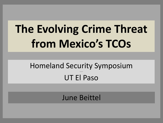# The Evolving Crime Threat from Mexico's TCOs

## **Homeland Security Symposium UT El Paso**

## **June Beittel**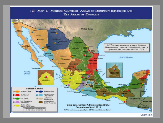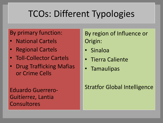## TCOs: Different Typologies

### By primary function:

- National Cartels
- Regional Cartels
- Toll-Collector Cartels
- Drug Trafficking Mafias or Crime Cells

### Eduardo Guerrero-Guitíerrez, Lantia Consultores

By region of Influence or Origin:

- Sinaloa
- Tierra Caliente
- Tamaulipas

### Stratfor Global Intelligence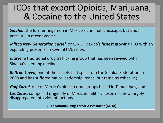## TCOs that export Opioids, Marijuana, & Cocaine to the United States

*Sinaloa*, the former hegemon in Mexico's criminal landscape, but under pressure in recent years;

*Jalisco New Generation Cartel*, or CJNG, Mexico's fastest growing TCO with an expanding presence in several U.S. cities;

*Juárez*, a traditional drug trafficking group that has been revived with Sinaloa's seeming decline;

*Beltrán Leyva*, one of the cartels that split from the Sinaloa Federation in 2008 and has suffered major leadership losses, but remains cohesive;

*Gulf Cartel*, one of Mexico's oldest crime groups based in Tamaulipas; and

*Los Zetas*, composed originally of Mexican military deserters, now largely disaggregated into violent factions.

**2017 National Drug Threat Assessment (NDTA)**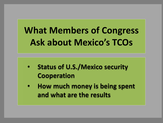## **What Members of Congress Ask about Mexico's TCOs**

- **Status of U.S./Mexico security Cooperation**
- **How much money is being spent and what are the results**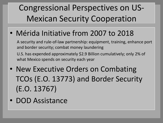## Congressional Perspectives on US-Mexican Security Cooperation

• Mérida Initiative from 2007 to 2018

A security and rule-of-law partnership: equipment, training, enhance port and border security; combat money laundering U.S. has expended approximately \$2.9 Billion cumulatively; only 2% of what Mexico spends on security each year

- New Executive Orders on Combating TCOs (E.O. 13773) and Border Security (E.O. 13767)
- DOD Assistance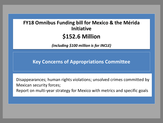### **FY18 Omnibus Funding bill for Mexico & the Mérida Initiative \$152.6 Million**

*(including \$100 million is for INCLE)*

**Key Concerns of Appropriations Committee** 

Disappearances; human rights violations; unsolved crimes committed by Mexican security forces;

Report on multi-year strategy for Mexico with metrics and specific goals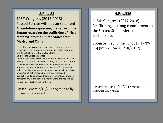#### **S.Res. 83**

115th Congress (2017-2018) Passed Senate without amendment **A resolution expressing the sense of the Senate regarding the trafficking of illicit fentanyl into the United States from Mexico and China**

"….all three such countries have a shared interest in, and responsibility for, stopping the production of illicit fentanyl and its trafficking into the United States.

Calls for the United States to: support the efforts by the governments of Mexico and China

to stop such production and trafficking into the United States; take further measures to reduce and prevent heroin and fentanyl consumption through enhanced enforcement to reduce the illegal supply and increased use of evidence-based prevention, treatment, and recovery services; and use its broad diplomatic and law enforcement resources, in partnership with the governments of China and Mexico, to stop such production and trafficking.

Passed Senate 3/15/2017 Agreed to by unanimous consent.

### **H.Res.336**

115th Congress (2017-2018) Reaffirming a strong commitment to the United States-Mexico partnership.

**Sponsor:** Rep. Engel, Eliot L. [D-NY-16] (Introduced 05/18/2017)

Passed House 12/12/2017 Agreed to without objection.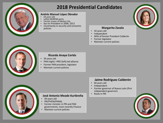

### **2018 Presidential Candidates**

#### **Andrés Manuel López Obrador**

- 64 years old
- Leftist MORENA party
- Former mayor of Mexico City
- Ran for President in 2006, 2012
- Uncertainty in security and economic policies



#### **Margarita Zavala**

- 50 years old
- **Independent**
- Wife of former President Calderón
- Former legislator
- Maintain current policies



#### **Ricardo Anaya Cortés**

- 39 years old
- PAN (right) –PRD (left)-led alliance
- Former PAN president, legislator
- Maintain current policies



#### **José Antonio Meade Kuribreña**

- 49 years old
- PRI/PVEM/PANAL
- Former minister in PRI and PAN governments, most recently Finance
- Maintain current policies

#### **Jaime Rodríguez Calderón**

- 60 years old
- Independent
- Former governor of Nuevo León (first independent governor)
- Roots in PRI